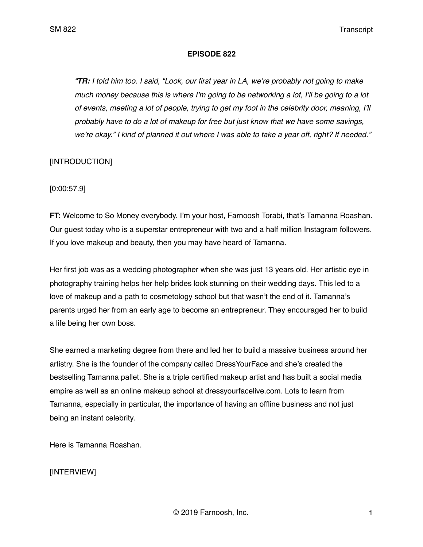#### **EPISODE 822**

*"TR: I told him too. I said, "Look, our first year in LA, we're probably not going to make much money because this is where I'm going to be networking a lot, I'll be going to a lot of events, meeting a lot of people, trying to get my foot in the celebrity door, meaning, I'll probably have to do a lot of makeup for free but just know that we have some savings, we're okay." I kind of planned it out where I was able to take a year off, right? If needed."*

## [INTRODUCTION]

[0:00:57.9]

**FT:** Welcome to So Money everybody. I'm your host, Farnoosh Torabi, that's Tamanna Roashan. Our guest today who is a superstar entrepreneur with two and a half million Instagram followers. If you love makeup and beauty, then you may have heard of Tamanna.

Her first job was as a wedding photographer when she was just 13 years old. Her artistic eye in photography training helps her help brides look stunning on their wedding days. This led to a love of makeup and a path to cosmetology school but that wasn't the end of it. Tamanna's parents urged her from an early age to become an entrepreneur. They encouraged her to build a life being her own boss.

She earned a marketing degree from there and led her to build a massive business around her artistry. She is the founder of the company called DressYourFace and she's created the bestselling Tamanna pallet. She is a triple certified makeup artist and has built a social media empire as well as an online makeup school at dressyourfacelive.com. Lots to learn from Tamanna, especially in particular, the importance of having an offline business and not just being an instant celebrity.

Here is Tamanna Roashan.

## [INTERVIEW]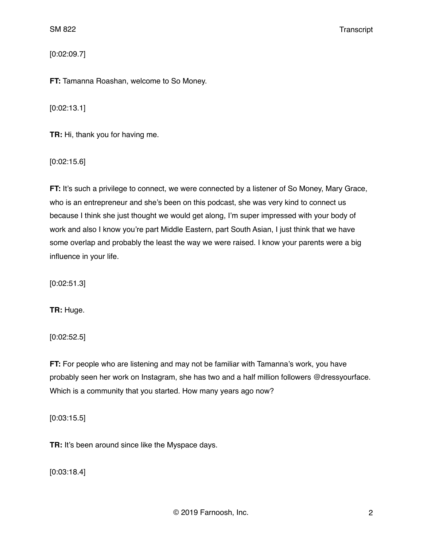[0:02:09.7]

**FT:** Tamanna Roashan, welcome to So Money.

[0:02:13.1]

**TR:** Hi, thank you for having me.

[0:02:15.6]

**FT:** It's such a privilege to connect, we were connected by a listener of So Money, Mary Grace, who is an entrepreneur and she's been on this podcast, she was very kind to connect us because I think she just thought we would get along, I'm super impressed with your body of work and also I know you're part Middle Eastern, part South Asian, I just think that we have some overlap and probably the least the way we were raised. I know your parents were a big influence in your life.

[0:02:51.3]

**TR:** Huge.

[0:02:52.5]

**FT:** For people who are listening and may not be familiar with Tamanna's work, you have probably seen her work on Instagram, she has two and a half million followers @dressyourface. Which is a community that you started. How many years ago now?

[0:03:15.5]

**TR:** It's been around since like the Myspace days.

[0:03:18.4]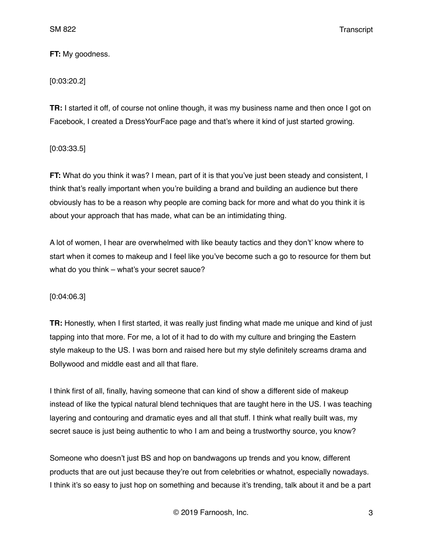## **FT:** My goodness.

# [0:03:20.2]

**TR:** I started it off, of course not online though, it was my business name and then once I got on Facebook, I created a DressYourFace page and that's where it kind of just started growing.

[0:03:33.5]

**FT:** What do you think it was? I mean, part of it is that you've just been steady and consistent, I think that's really important when you're building a brand and building an audience but there obviously has to be a reason why people are coming back for more and what do you think it is about your approach that has made, what can be an intimidating thing.

A lot of women, I hear are overwhelmed with like beauty tactics and they don't' know where to start when it comes to makeup and I feel like you've become such a go to resource for them but what do you think – what's your secret sauce?

### [0:04:06.3]

**TR:** Honestly, when I first started, it was really just finding what made me unique and kind of just tapping into that more. For me, a lot of it had to do with my culture and bringing the Eastern style makeup to the US. I was born and raised here but my style definitely screams drama and Bollywood and middle east and all that flare.

I think first of all, finally, having someone that can kind of show a different side of makeup instead of like the typical natural blend techniques that are taught here in the US. I was teaching layering and contouring and dramatic eyes and all that stuff. I think what really built was, my secret sauce is just being authentic to who I am and being a trustworthy source, you know?

Someone who doesn't just BS and hop on bandwagons up trends and you know, different products that are out just because they're out from celebrities or whatnot, especially nowadays. I think it's so easy to just hop on something and because it's trending, talk about it and be a part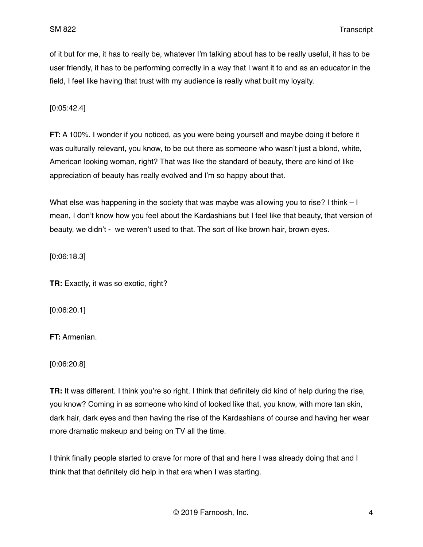of it but for me, it has to really be, whatever I'm talking about has to be really useful, it has to be user friendly, it has to be performing correctly in a way that I want it to and as an educator in the field, I feel like having that trust with my audience is really what built my loyalty.

[0:05:42.4]

**FT:** A 100%. I wonder if you noticed, as you were being yourself and maybe doing it before it was culturally relevant, you know, to be out there as someone who wasn't just a blond, white, American looking woman, right? That was like the standard of beauty, there are kind of like appreciation of beauty has really evolved and I'm so happy about that.

What else was happening in the society that was maybe was allowing you to rise? I think – I mean, I don't know how you feel about the Kardashians but I feel like that beauty, that version of beauty, we didn't - we weren't used to that. The sort of like brown hair, brown eyes.

[0:06:18.3]

**TR:** Exactly, it was so exotic, right?

[0:06:20.1]

**FT:** Armenian.

[0:06:20.8]

**TR:** It was different. I think you're so right. I think that definitely did kind of help during the rise, you know? Coming in as someone who kind of looked like that, you know, with more tan skin, dark hair, dark eyes and then having the rise of the Kardashians of course and having her wear more dramatic makeup and being on TV all the time.

I think finally people started to crave for more of that and here I was already doing that and I think that that definitely did help in that era when I was starting.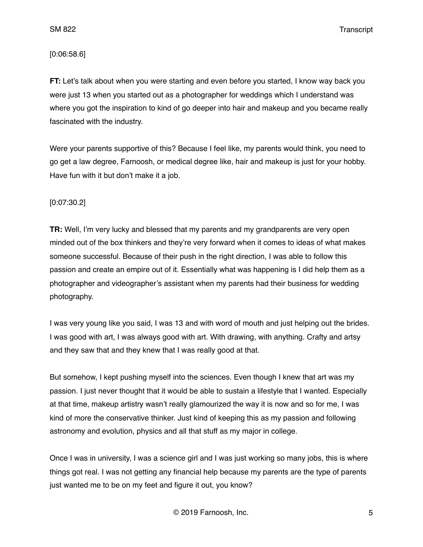### [0:06:58.6]

**FT:** Let's talk about when you were starting and even before you started, I know way back you were just 13 when you started out as a photographer for weddings which I understand was where you got the inspiration to kind of go deeper into hair and makeup and you became really fascinated with the industry.

Were your parents supportive of this? Because I feel like, my parents would think, you need to go get a law degree, Farnoosh, or medical degree like, hair and makeup is just for your hobby. Have fun with it but don't make it a job.

### [0:07:30.2]

**TR:** Well, I'm very lucky and blessed that my parents and my grandparents are very open minded out of the box thinkers and they're very forward when it comes to ideas of what makes someone successful. Because of their push in the right direction, I was able to follow this passion and create an empire out of it. Essentially what was happening is I did help them as a photographer and videographer's assistant when my parents had their business for wedding photography.

I was very young like you said, I was 13 and with word of mouth and just helping out the brides. I was good with art, I was always good with art. With drawing, with anything. Crafty and artsy and they saw that and they knew that I was really good at that.

But somehow, I kept pushing myself into the sciences. Even though I knew that art was my passion. I just never thought that it would be able to sustain a lifestyle that I wanted. Especially at that time, makeup artistry wasn't really glamourized the way it is now and so for me, I was kind of more the conservative thinker. Just kind of keeping this as my passion and following astronomy and evolution, physics and all that stuff as my major in college.

Once I was in university, I was a science girl and I was just working so many jobs, this is where things got real. I was not getting any financial help because my parents are the type of parents just wanted me to be on my feet and figure it out, you know?

© 2019 Farnoosh, Inc. 5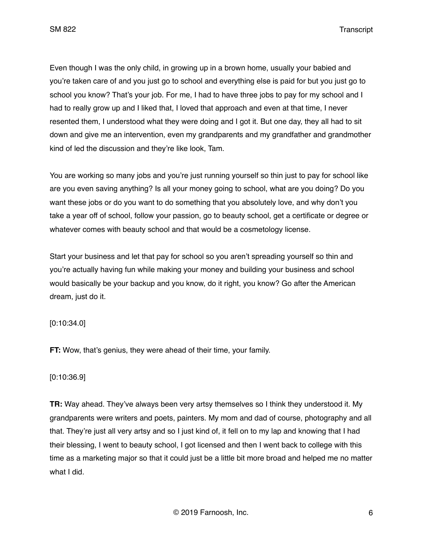Even though I was the only child, in growing up in a brown home, usually your babied and you're taken care of and you just go to school and everything else is paid for but you just go to school you know? That's your job. For me, I had to have three jobs to pay for my school and I had to really grow up and I liked that, I loved that approach and even at that time, I never resented them, I understood what they were doing and I got it. But one day, they all had to sit down and give me an intervention, even my grandparents and my grandfather and grandmother kind of led the discussion and they're like look, Tam.

You are working so many jobs and you're just running yourself so thin just to pay for school like are you even saving anything? Is all your money going to school, what are you doing? Do you want these jobs or do you want to do something that you absolutely love, and why don't you take a year off of school, follow your passion, go to beauty school, get a certificate or degree or whatever comes with beauty school and that would be a cosmetology license.

Start your business and let that pay for school so you aren't spreading yourself so thin and you're actually having fun while making your money and building your business and school would basically be your backup and you know, do it right, you know? Go after the American dream, just do it.

## [0:10:34.0]

**FT:** Wow, that's genius, they were ahead of their time, your family.

### [0:10:36.9]

**TR:** Way ahead. They've always been very artsy themselves so I think they understood it. My grandparents were writers and poets, painters. My mom and dad of course, photography and all that. They're just all very artsy and so I just kind of, it fell on to my lap and knowing that I had their blessing, I went to beauty school, I got licensed and then I went back to college with this time as a marketing major so that it could just be a little bit more broad and helped me no matter what I did.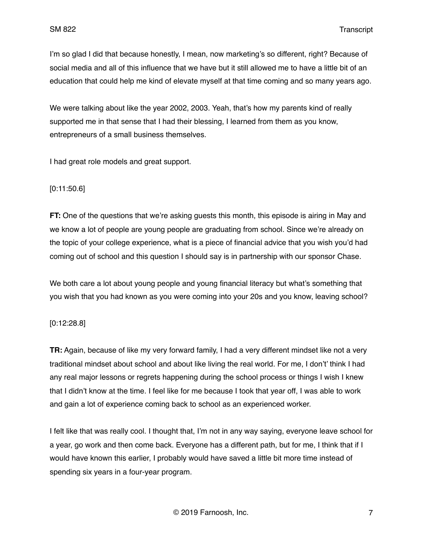I'm so glad I did that because honestly, I mean, now marketing's so different, right? Because of social media and all of this influence that we have but it still allowed me to have a little bit of an education that could help me kind of elevate myself at that time coming and so many years ago.

We were talking about like the year 2002, 2003. Yeah, that's how my parents kind of really supported me in that sense that I had their blessing, I learned from them as you know, entrepreneurs of a small business themselves.

I had great role models and great support.

### [0:11:50.6]

**FT:** One of the questions that we're asking guests this month, this episode is airing in May and we know a lot of people are young people are graduating from school. Since we're already on the topic of your college experience, what is a piece of financial advice that you wish you'd had coming out of school and this question I should say is in partnership with our sponsor Chase.

We both care a lot about young people and young financial literacy but what's something that you wish that you had known as you were coming into your 20s and you know, leaving school?

### [0:12:28.8]

**TR:** Again, because of like my very forward family, I had a very different mindset like not a very traditional mindset about school and about like living the real world. For me, I don't' think I had any real major lessons or regrets happening during the school process or things I wish I knew that I didn't know at the time. I feel like for me because I took that year off, I was able to work and gain a lot of experience coming back to school as an experienced worker.

I felt like that was really cool. I thought that, I'm not in any way saying, everyone leave school for a year, go work and then come back. Everyone has a different path, but for me, I think that if I would have known this earlier, I probably would have saved a little bit more time instead of spending six years in a four-year program.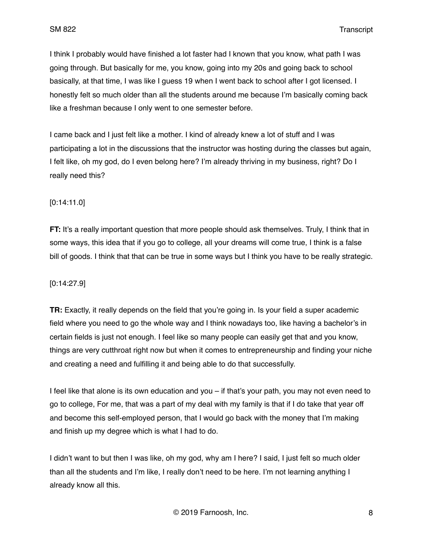I think I probably would have finished a lot faster had I known that you know, what path I was going through. But basically for me, you know, going into my 20s and going back to school basically, at that time, I was like I guess 19 when I went back to school after I got licensed. I honestly felt so much older than all the students around me because I'm basically coming back like a freshman because I only went to one semester before.

I came back and I just felt like a mother. I kind of already knew a lot of stuff and I was participating a lot in the discussions that the instructor was hosting during the classes but again, I felt like, oh my god, do I even belong here? I'm already thriving in my business, right? Do I really need this?

### [0:14:11.0]

**FT:** It's a really important question that more people should ask themselves. Truly, I think that in some ways, this idea that if you go to college, all your dreams will come true, I think is a false bill of goods. I think that that can be true in some ways but I think you have to be really strategic.

#### [0:14:27.9]

**TR:** Exactly, it really depends on the field that you're going in. Is your field a super academic field where you need to go the whole way and I think nowadays too, like having a bachelor's in certain fields is just not enough. I feel like so many people can easily get that and you know, things are very cutthroat right now but when it comes to entrepreneurship and finding your niche and creating a need and fulfilling it and being able to do that successfully.

I feel like that alone is its own education and you – if that's your path, you may not even need to go to college, For me, that was a part of my deal with my family is that if I do take that year off and become this self-employed person, that I would go back with the money that I'm making and finish up my degree which is what I had to do.

I didn't want to but then I was like, oh my god, why am I here? I said, I just felt so much older than all the students and I'm like, I really don't need to be here. I'm not learning anything I already know all this.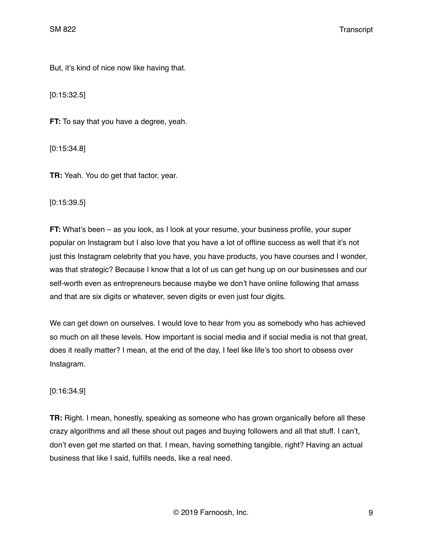But, it's kind of nice now like having that.

[0:15:32.5]

**FT:** To say that you have a degree, yeah.

[0:15:34.8]

**TR:** Yeah. You do get that factor, year.

[0:15:39.5]

**FT:** What's been – as you look, as I look at your resume, your business profile, your super popular on Instagram but I also love that you have a lot of offline success as well that it's not just this Instagram celebrity that you have, you have products, you have courses and I wonder, was that strategic? Because I know that a lot of us can get hung up on our businesses and our self-worth even as entrepreneurs because maybe we don't have online following that amass and that are six digits or whatever, seven digits or even just four digits.

We can get down on ourselves. I would love to hear from you as somebody who has achieved so much on all these levels. How important is social media and if social media is not that great, does it really matter? I mean, at the end of the day, I feel like life's too short to obsess over Instagram.

# [0:16:34.9]

**TR:** Right. I mean, honestly, speaking as someone who has grown organically before all these crazy algorithms and all these shout out pages and buying followers and all that stuff. I can't, don't even get me started on that. I mean, having something tangible, right? Having an actual business that like I said, fulfills needs, like a real need.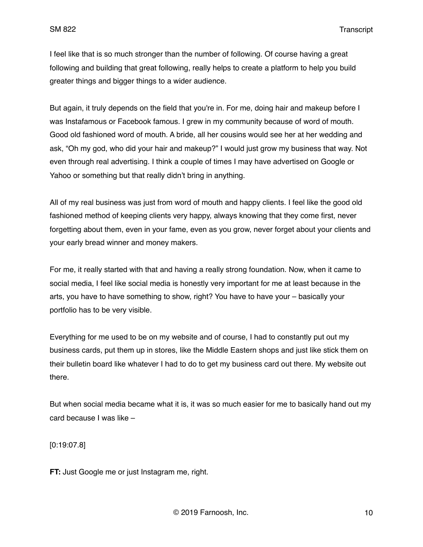I feel like that is so much stronger than the number of following. Of course having a great following and building that great following, really helps to create a platform to help you build greater things and bigger things to a wider audience.

But again, it truly depends on the field that you're in. For me, doing hair and makeup before I was Instafamous or Facebook famous. I grew in my community because of word of mouth. Good old fashioned word of mouth. A bride, all her cousins would see her at her wedding and ask, "Oh my god, who did your hair and makeup?" I would just grow my business that way. Not even through real advertising. I think a couple of times I may have advertised on Google or Yahoo or something but that really didn't bring in anything.

All of my real business was just from word of mouth and happy clients. I feel like the good old fashioned method of keeping clients very happy, always knowing that they come first, never forgetting about them, even in your fame, even as you grow, never forget about your clients and your early bread winner and money makers.

For me, it really started with that and having a really strong foundation. Now, when it came to social media, I feel like social media is honestly very important for me at least because in the arts, you have to have something to show, right? You have to have your – basically your portfolio has to be very visible.

Everything for me used to be on my website and of course, I had to constantly put out my business cards, put them up in stores, like the Middle Eastern shops and just like stick them on their bulletin board like whatever I had to do to get my business card out there. My website out there.

But when social media became what it is, it was so much easier for me to basically hand out my card because I was like –

[0:19:07.8]

**FT:** Just Google me or just Instagram me, right.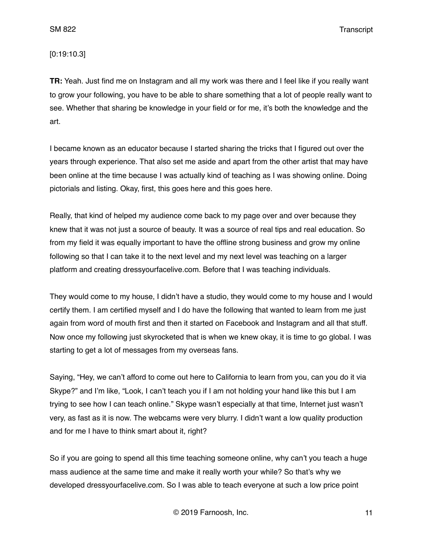[0:19:10.3]

**TR:** Yeah. Just find me on Instagram and all my work was there and I feel like if you really want to grow your following, you have to be able to share something that a lot of people really want to see. Whether that sharing be knowledge in your field or for me, it's both the knowledge and the art.

I became known as an educator because I started sharing the tricks that I figured out over the years through experience. That also set me aside and apart from the other artist that may have been online at the time because I was actually kind of teaching as I was showing online. Doing pictorials and listing. Okay, first, this goes here and this goes here.

Really, that kind of helped my audience come back to my page over and over because they knew that it was not just a source of beauty. It was a source of real tips and real education. So from my field it was equally important to have the offline strong business and grow my online following so that I can take it to the next level and my next level was teaching on a larger platform and creating dressyourfacelive.com. Before that I was teaching individuals.

They would come to my house, I didn't have a studio, they would come to my house and I would certify them. I am certified myself and I do have the following that wanted to learn from me just again from word of mouth first and then it started on Facebook and Instagram and all that stuff. Now once my following just skyrocketed that is when we knew okay, it is time to go global. I was starting to get a lot of messages from my overseas fans.

Saying, "Hey, we can't afford to come out here to California to learn from you, can you do it via Skype?" and I'm like, "Look, I can't teach you if I am not holding your hand like this but I am trying to see how I can teach online." Skype wasn't especially at that time, Internet just wasn't very, as fast as it is now. The webcams were very blurry. I didn't want a low quality production and for me I have to think smart about it, right?

So if you are going to spend all this time teaching someone online, why can't you teach a huge mass audience at the same time and make it really worth your while? So that's why we developed dressyourfacelive.com. So I was able to teach everyone at such a low price point

© 2019 Farnoosh, Inc. 11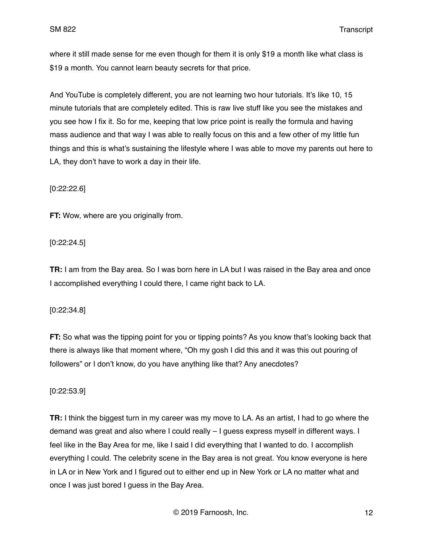where it still made sense for me even though for them it is only \$19 a month like what class is \$19 a month. You cannot learn beauty secrets for that price.

And YouTube is completely different, you are not learning two hour tutorials. It's like 10, 15 minute tutorials that are completely edited. This is raw live stuff like you see the mistakes and you see how I fix it. So for me, keeping that low price point is really the formula and having mass audience and that way I was able to really focus on this and a few other of my little fun things and this is what's sustaining the lifestyle where I was able to move my parents out here to LA, they don't have to work a day in their life.

[0:22:22.6]

**FT:** Wow, where are you originally from.

[0:22:24.5]

**TR:** I am from the Bay area. So I was born here in LA but I was raised in the Bay area and once I accomplished everything I could there, I came right back to LA.

[0:22:34.8]

**FT:** So what was the tipping point for you or tipping points? As you know that's looking back that there is always like that moment where, "Oh my gosh I did this and it was this out pouring of followers" or I don't know, do you have anything like that? Any anecdotes?

[0:22:53.9]

**TR:** I think the biggest turn in my career was my move to LA. As an artist, I had to go where the demand was great and also where I could really – I guess express myself in different ways. I feel like in the Bay Area for me, like I said I did everything that I wanted to do. I accomplish everything I could. The celebrity scene in the Bay area is not great. You know everyone is here in LA or in New York and I figured out to either end up in New York or LA no matter what and once I was just bored I guess in the Bay Area.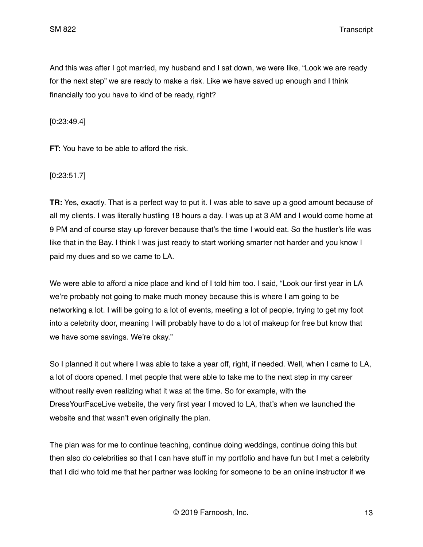And this was after I got married, my husband and I sat down, we were like, "Look we are ready for the next step" we are ready to make a risk. Like we have saved up enough and I think financially too you have to kind of be ready, right?

[0:23:49.4]

**FT:** You have to be able to afford the risk.

[0:23:51.7]

**TR:** Yes, exactly. That is a perfect way to put it. I was able to save up a good amount because of all my clients. I was literally hustling 18 hours a day. I was up at 3 AM and I would come home at 9 PM and of course stay up forever because that's the time I would eat. So the hustler's life was like that in the Bay. I think I was just ready to start working smarter not harder and you know I paid my dues and so we came to LA.

We were able to afford a nice place and kind of I told him too. I said, "Look our first year in LA we're probably not going to make much money because this is where I am going to be networking a lot. I will be going to a lot of events, meeting a lot of people, trying to get my foot into a celebrity door, meaning I will probably have to do a lot of makeup for free but know that we have some savings. We're okay."

So I planned it out where I was able to take a year off, right, if needed. Well, when I came to LA, a lot of doors opened. I met people that were able to take me to the next step in my career without really even realizing what it was at the time. So for example, with the DressYourFaceLive website, the very first year I moved to LA, that's when we launched the website and that wasn't even originally the plan.

The plan was for me to continue teaching, continue doing weddings, continue doing this but then also do celebrities so that I can have stuff in my portfolio and have fun but I met a celebrity that I did who told me that her partner was looking for someone to be an online instructor if we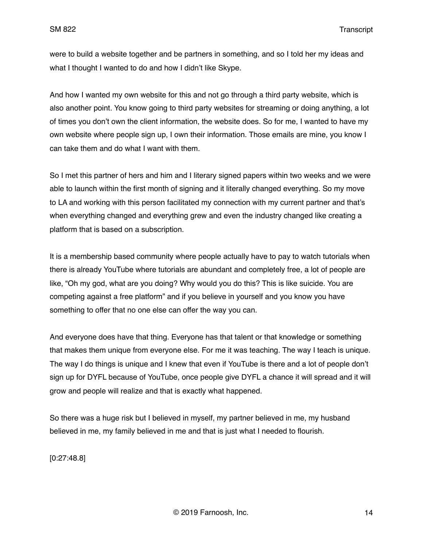were to build a website together and be partners in something, and so I told her my ideas and what I thought I wanted to do and how I didn't like Skype.

And how I wanted my own website for this and not go through a third party website, which is also another point. You know going to third party websites for streaming or doing anything, a lot of times you don't own the client information, the website does. So for me, I wanted to have my own website where people sign up, I own their information. Those emails are mine, you know I can take them and do what I want with them.

So I met this partner of hers and him and I literary signed papers within two weeks and we were able to launch within the first month of signing and it literally changed everything. So my move to LA and working with this person facilitated my connection with my current partner and that's when everything changed and everything grew and even the industry changed like creating a platform that is based on a subscription.

It is a membership based community where people actually have to pay to watch tutorials when there is already YouTube where tutorials are abundant and completely free, a lot of people are like, "Oh my god, what are you doing? Why would you do this? This is like suicide. You are competing against a free platform" and if you believe in yourself and you know you have something to offer that no one else can offer the way you can.

And everyone does have that thing. Everyone has that talent or that knowledge or something that makes them unique from everyone else. For me it was teaching. The way I teach is unique. The way I do things is unique and I knew that even if YouTube is there and a lot of people don't sign up for DYFL because of YouTube, once people give DYFL a chance it will spread and it will grow and people will realize and that is exactly what happened.

So there was a huge risk but I believed in myself, my partner believed in me, my husband believed in me, my family believed in me and that is just what I needed to flourish.

[0:27:48.8]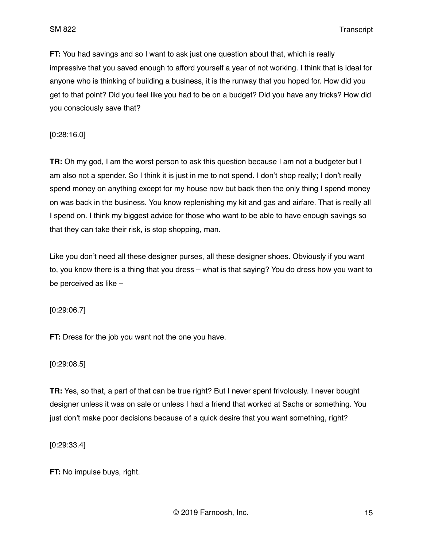**FT:** You had savings and so I want to ask just one question about that, which is really impressive that you saved enough to afford yourself a year of not working. I think that is ideal for anyone who is thinking of building a business, it is the runway that you hoped for. How did you get to that point? Did you feel like you had to be on a budget? Did you have any tricks? How did you consciously save that?

[0:28:16.0]

**TR:** Oh my god, I am the worst person to ask this question because I am not a budgeter but I am also not a spender. So I think it is just in me to not spend. I don't shop really: I don't really spend money on anything except for my house now but back then the only thing I spend money on was back in the business. You know replenishing my kit and gas and airfare. That is really all I spend on. I think my biggest advice for those who want to be able to have enough savings so that they can take their risk, is stop shopping, man.

Like you don't need all these designer purses, all these designer shoes. Obviously if you want to, you know there is a thing that you dress – what is that saying? You do dress how you want to be perceived as like –

[0:29:06.7]

**FT:** Dress for the job you want not the one you have.

[0:29:08.5]

**TR:** Yes, so that, a part of that can be true right? But I never spent frivolously. I never bought designer unless it was on sale or unless I had a friend that worked at Sachs or something. You just don't make poor decisions because of a quick desire that you want something, right?

[0:29:33.4]

**FT:** No impulse buys, right.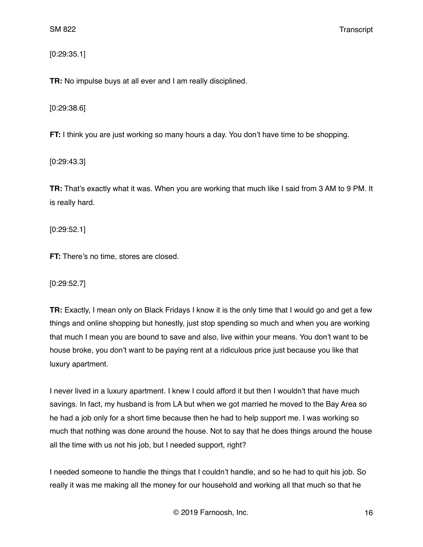[0:29:35.1]

**TR:** No impulse buys at all ever and I am really disciplined.

[0:29:38.6]

**FT:** I think you are just working so many hours a day. You don't have time to be shopping.

[0:29:43.3]

**TR:** That's exactly what it was. When you are working that much like I said from 3 AM to 9 PM. It is really hard.

[0:29:52.1]

**FT:** There's no time, stores are closed.

[0:29:52.7]

**TR:** Exactly, I mean only on Black Fridays I know it is the only time that I would go and get a few things and online shopping but honestly, just stop spending so much and when you are working that much I mean you are bound to save and also, live within your means. You don't want to be house broke, you don't want to be paying rent at a ridiculous price just because you like that luxury apartment.

I never lived in a luxury apartment. I knew I could afford it but then I wouldn't that have much savings. In fact, my husband is from LA but when we got married he moved to the Bay Area so he had a job only for a short time because then he had to help support me. I was working so much that nothing was done around the house. Not to say that he does things around the house all the time with us not his job, but I needed support, right?

I needed someone to handle the things that I couldn't handle, and so he had to quit his job. So really it was me making all the money for our household and working all that much so that he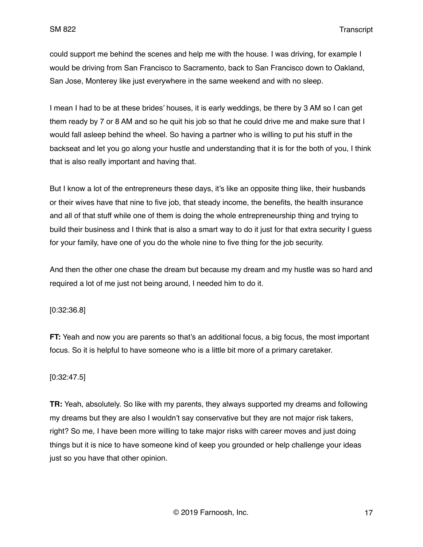could support me behind the scenes and help me with the house. I was driving, for example I would be driving from San Francisco to Sacramento, back to San Francisco down to Oakland, San Jose, Monterey like just everywhere in the same weekend and with no sleep.

I mean I had to be at these brides' houses, it is early weddings, be there by 3 AM so I can get them ready by 7 or 8 AM and so he quit his job so that he could drive me and make sure that I would fall asleep behind the wheel. So having a partner who is willing to put his stuff in the backseat and let you go along your hustle and understanding that it is for the both of you, I think that is also really important and having that.

But I know a lot of the entrepreneurs these days, it's like an opposite thing like, their husbands or their wives have that nine to five job, that steady income, the benefits, the health insurance and all of that stuff while one of them is doing the whole entrepreneurship thing and trying to build their business and I think that is also a smart way to do it just for that extra security I guess for your family, have one of you do the whole nine to five thing for the job security.

And then the other one chase the dream but because my dream and my hustle was so hard and required a lot of me just not being around, I needed him to do it.

[0:32:36.8]

**FT:** Yeah and now you are parents so that's an additional focus, a big focus, the most important focus. So it is helpful to have someone who is a little bit more of a primary caretaker.

### [0:32:47.5]

**TR:** Yeah, absolutely. So like with my parents, they always supported my dreams and following my dreams but they are also I wouldn't say conservative but they are not major risk takers, right? So me, I have been more willing to take major risks with career moves and just doing things but it is nice to have someone kind of keep you grounded or help challenge your ideas just so you have that other opinion.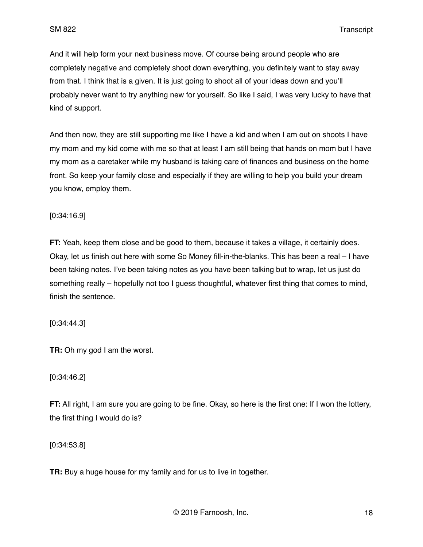And it will help form your next business move. Of course being around people who are completely negative and completely shoot down everything, you definitely want to stay away from that. I think that is a given. It is just going to shoot all of your ideas down and you'll probably never want to try anything new for yourself. So like I said, I was very lucky to have that kind of support.

And then now, they are still supporting me like I have a kid and when I am out on shoots I have my mom and my kid come with me so that at least I am still being that hands on mom but I have my mom as a caretaker while my husband is taking care of finances and business on the home front. So keep your family close and especially if they are willing to help you build your dream you know, employ them.

[0:34:16.9]

**FT:** Yeah, keep them close and be good to them, because it takes a village, it certainly does. Okay, let us finish out here with some So Money fill-in-the-blanks. This has been a real – I have been taking notes. I've been taking notes as you have been talking but to wrap, let us just do something really – hopefully not too I guess thoughtful, whatever first thing that comes to mind, finish the sentence.

[0:34:44.3]

**TR:** Oh my god I am the worst.

#### [0:34:46.2]

**FT:** All right, I am sure you are going to be fine. Okay, so here is the first one: If I won the lottery, the first thing I would do is?

[0:34:53.8]

**TR:** Buy a huge house for my family and for us to live in together.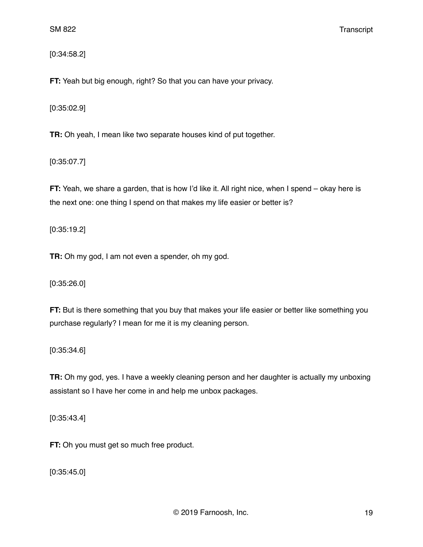[0:34:58.2]

**FT:** Yeah but big enough, right? So that you can have your privacy.

[0:35:02.9]

**TR:** Oh yeah, I mean like two separate houses kind of put together.

[0:35:07.7]

**FT:** Yeah, we share a garden, that is how I'd like it. All right nice, when I spend – okay here is the next one: one thing I spend on that makes my life easier or better is?

[0:35:19.2]

**TR:** Oh my god, I am not even a spender, oh my god.

[0:35:26.0]

**FT:** But is there something that you buy that makes your life easier or better like something you purchase regularly? I mean for me it is my cleaning person.

[0:35:34.6]

**TR:** Oh my god, yes. I have a weekly cleaning person and her daughter is actually my unboxing assistant so I have her come in and help me unbox packages.

[0:35:43.4]

**FT:** Oh you must get so much free product.

[0:35:45.0]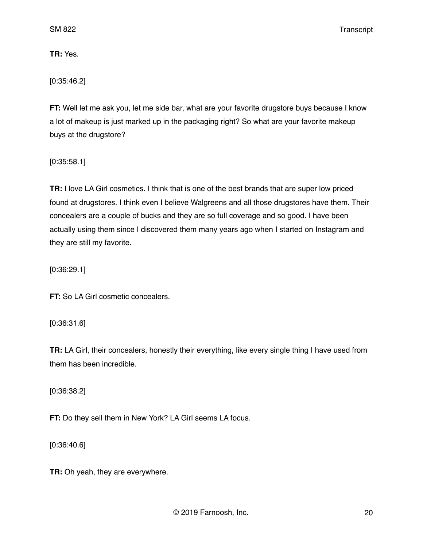**TR:** Yes.

[0:35:46.2]

**FT:** Well let me ask you, let me side bar, what are your favorite drugstore buys because I know a lot of makeup is just marked up in the packaging right? So what are your favorite makeup buys at the drugstore?

[0:35:58.1]

**TR:** I love LA Girl cosmetics. I think that is one of the best brands that are super low priced found at drugstores. I think even I believe Walgreens and all those drugstores have them. Their concealers are a couple of bucks and they are so full coverage and so good. I have been actually using them since I discovered them many years ago when I started on Instagram and they are still my favorite.

[0:36:29.1]

**FT:** So LA Girl cosmetic concealers.

[0:36:31.6]

**TR:** LA Girl, their concealers, honestly their everything, like every single thing I have used from them has been incredible.

[0:36:38.2]

**FT:** Do they sell them in New York? LA Girl seems LA focus.

[0:36:40.6]

**TR:** Oh yeah, they are everywhere.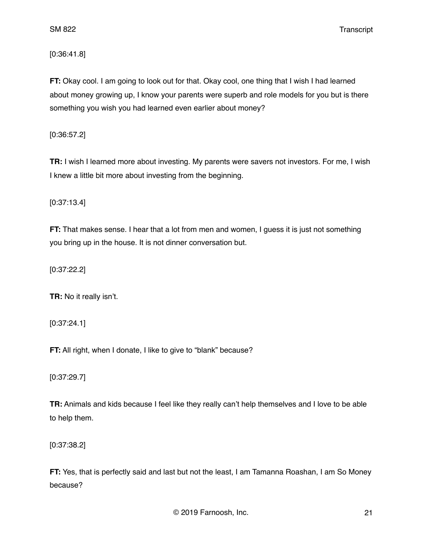[0:36:41.8]

**FT:** Okay cool. I am going to look out for that. Okay cool, one thing that I wish I had learned about money growing up, I know your parents were superb and role models for you but is there something you wish you had learned even earlier about money?

[0:36:57.2]

**TR:** I wish I learned more about investing. My parents were savers not investors. For me, I wish I knew a little bit more about investing from the beginning.

[0:37:13.4]

**FT:** That makes sense. I hear that a lot from men and women, I guess it is just not something you bring up in the house. It is not dinner conversation but.

[0:37:22.2]

**TR:** No it really isn't.

[0:37:24.1]

**FT:** All right, when I donate, I like to give to "blank" because?

[0:37:29.7]

**TR:** Animals and kids because I feel like they really can't help themselves and I love to be able to help them.

[0:37:38.2]

**FT:** Yes, that is perfectly said and last but not the least, I am Tamanna Roashan, I am So Money because?

© 2019 Farnoosh, Inc. 21